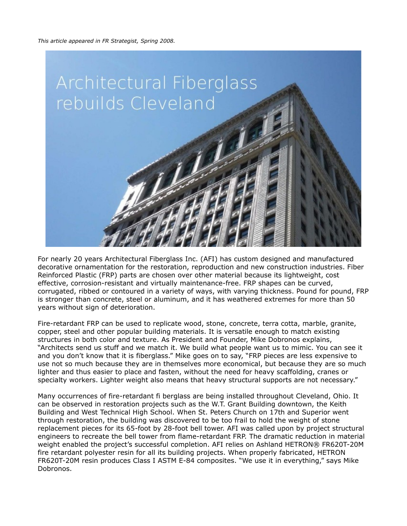

For nearly 20 years Architectural Fiberglass Inc. (AFI) has custom designed and manufactured decorative ornamentation for the restoration, reproduction and new construction industries. Fiber Reinforced Plastic (FRP) parts are chosen over other material because its lightweight, cost effective, corrosion-resistant and virtually maintenance-free. FRP shapes can be curved, corrugated, ribbed or contoured in a variety of ways, with varying thickness. Pound for pound, FRP is stronger than concrete, steel or aluminum, and it has weathered extremes for more than 50 years without sign of deterioration.

Fire-retardant FRP can be used to replicate wood, stone, concrete, terra cotta, marble, granite, copper, steel and other popular building materials. It is versatile enough to match existing structures in both color and texture. As President and Founder, Mike Dobronos explains, "Architects send us stuff and we match it. We build what people want us to mimic. You can see it and you don't know that it is fiberglass." Mike goes on to say, "FRP pieces are less expensive to use not so much because they are in themselves more economical, but because they are so much lighter and thus easier to place and fasten, without the need for heavy scaffolding, cranes or specialty workers. Lighter weight also means that heavy structural supports are not necessary."

Many occurrences of fire-retardant fi berglass are being installed throughout Cleveland, Ohio. It can be observed in restoration projects such as the W.T. Grant Building downtown, the Keith Building and West Technical High School. When St. Peters Church on 17th and Superior went through restoration, the building was discovered to be too frail to hold the weight of stone replacement pieces for its 65-foot by 28-foot bell tower. AFI was called upon by project structural engineers to recreate the bell tower from flame-retardant FRP. The dramatic reduction in material weight enabled the project's successful completion. AFI relies on Ashland HETRON® FR620T-20M fire retardant polyester resin for all its building projects. When properly fabricated, HETRON FR620T-20M resin produces Class I ASTM E-84 composites. "We use it in everything," says Mike Dobronos.